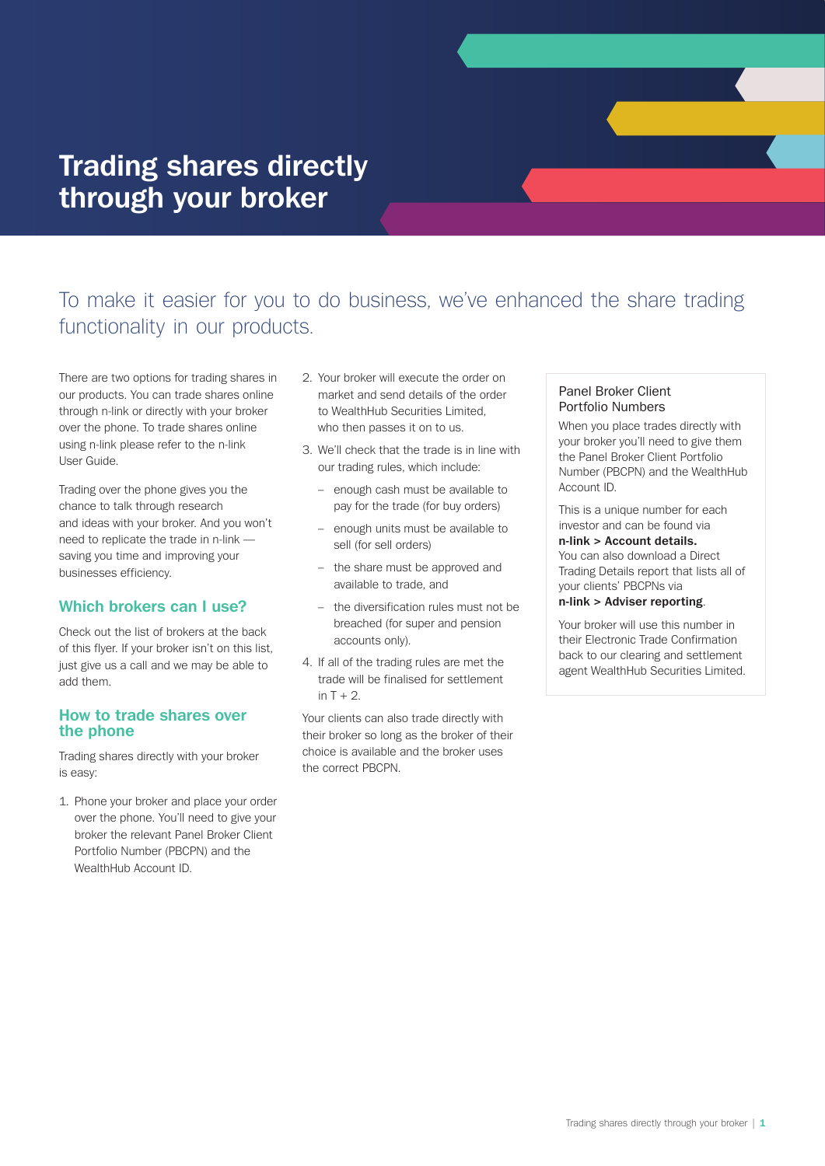# **Trading shares directly through your broker**

# To make it easier for you to do business, we've enhanced the share trading functionality in our products.

There are two options for trading shares in our products. You can trade shares online through n-link or directly with your broker over the phone. To trade shares online using n-link please refer to the n-link User Guide.

Trading over the phone gives you the chance to talk through research and ideas with your broker. And you won't need to replicate the trade in n-link saving you time and improving your businesses efficiency.

## **Which brokers can I use?**

Check out the list of brokers at the back of this flyer. If your broker isn't on this list, just give us a call and we may be able to add them.

### **How to trade shares over the phone**

Trading shares directly with your broker is easy:

1. Phone your broker and place your order over the phone. You'll need to give your broker the relevant Panel Broker Client Portfolio Number (PBCPN) and the WealthHub Account ID.

- 2. Your broker will execute the order on market and send details of the order to WealthHub Securities Limited, who then passes it on to us.
- 3. We'll check that the trade is in line with our trading rules, which include:
	- enough cash must be available to pay for the trade (for buy orders)
	- enough units must be available to sell (for sell orders)
	- the share must be approved and available to trade, and
	- the diversification rules must not be breached (for super and pension accounts only).
- 4. If all of the trading rules are met the trade will be finalised for settlement in  $T + 2$ .

Your clients can also trade directly with their broker so long as the broker of their choice is available and the broker uses the correct PBCPN.

### Panel Broker Client Portfolio Numbers

When you place trades directly with your broker you'll need to give them the Panel Broker Client Portfolio Number (PBCPN) and the WealthHub Account ID.

This is a unique number for each investor and can be found via

#### **n-link > Account details.**

You can also download a Direct Trading Details report that lists all of your clients' PBCPNs via

#### **n-link > Adviser reporting**.

Your broker will use this number in their Electronic Trade Confirmation back to our clearing and settlement agent WealthHub Securities Limited.